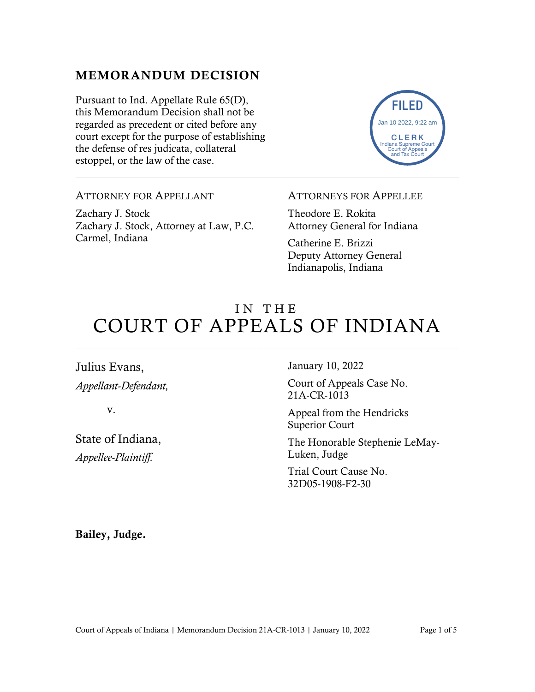### MEMORANDUM DECISION

Pursuant to Ind. Appellate Rule 65(D), this Memorandum Decision shall not be regarded as precedent or cited before any court except for the purpose of establishing the defense of res judicata, collateral estoppel, or the law of the case.



#### ATTORNEY FOR APPELLANT

Zachary J. Stock Zachary J. Stock, Attorney at Law, P.C. Carmel, Indiana

#### ATTORNEYS FOR APPELLEE

Theodore E. Rokita Attorney General for Indiana

Catherine E. Brizzi Deputy Attorney General Indianapolis, Indiana

# IN THE COURT OF APPEALS OF INDIANA

### Julius Evans, *Appellant-Defendant,*

v.

State of Indiana, *Appellee-Plaintiff.*

January 10, 2022

Court of Appeals Case No. 21A-CR-1013

Appeal from the Hendricks Superior Court

The Honorable Stephenie LeMay-Luken, Judge

Trial Court Cause No. 32D05-1908-F2-30

Bailey, Judge.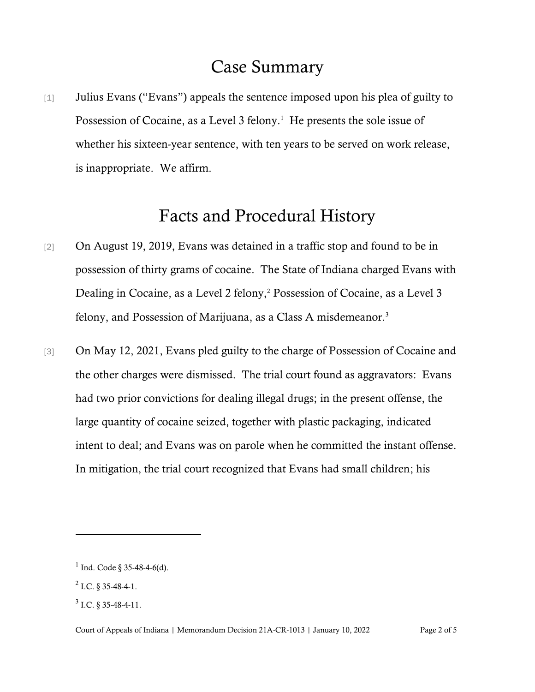# Case Summary

[1] Julius Evans ("Evans") appeals the sentence imposed upon his plea of guilty to Possession of Cocaine, as a Level 3 felony.<sup>1</sup> He presents the sole issue of whether his sixteen-year sentence, with ten years to be served on work release, is inappropriate. We affirm.

# Facts and Procedural History

- [2] On August 19, 2019, Evans was detained in a traffic stop and found to be in possession of thirty grams of cocaine. The State of Indiana charged Evans with Dealing in Cocaine, as a Level 2 felony,<sup>2</sup> Possession of Cocaine, as a Level 3 felony, and Possession of Marijuana, as a Class A misdemeanor.<sup>3</sup>
- [3] On May 12, 2021, Evans pled guilty to the charge of Possession of Cocaine and the other charges were dismissed. The trial court found as aggravators: Evans had two prior convictions for dealing illegal drugs; in the present offense, the large quantity of cocaine seized, together with plastic packaging, indicated intent to deal; and Evans was on parole when he committed the instant offense. In mitigation, the trial court recognized that Evans had small children; his

 $1$  Ind. Code § 35-48-4-6(d).

 $^{2}$  I.C. § 35-48-4-1.

 $3$  I.C. § 35-48-4-11.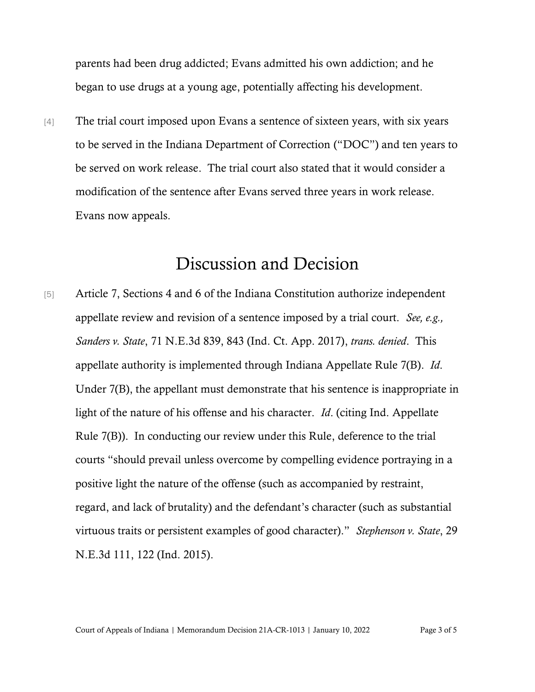parents had been drug addicted; Evans admitted his own addiction; and he began to use drugs at a young age, potentially affecting his development.

[4] The trial court imposed upon Evans a sentence of sixteen years, with six years to be served in the Indiana Department of Correction ("DOC") and ten years to be served on work release. The trial court also stated that it would consider a modification of the sentence after Evans served three years in work release. Evans now appeals.

## Discussion and Decision

[5] Article 7, Sections 4 and 6 of the Indiana Constitution authorize independent appellate review and revision of a sentence imposed by a trial court. *See, e.g., Sanders v. State*, 71 N.E.3d 839, 843 (Ind. Ct. App. 2017), *trans. denied*. This appellate authority is implemented through Indiana Appellate Rule 7(B). *Id*. Under 7(B), the appellant must demonstrate that his sentence is inappropriate in light of the nature of his offense and his character. *Id*. (citing Ind. Appellate Rule 7(B)). In conducting our review under this Rule, deference to the trial courts "should prevail unless overcome by compelling evidence portraying in a positive light the nature of the offense (such as accompanied by restraint, regard, and lack of brutality) and the defendant's character (such as substantial virtuous traits or persistent examples of good character)." *Stephenson v. State*, 29 N.E.3d 111, 122 (Ind. 2015).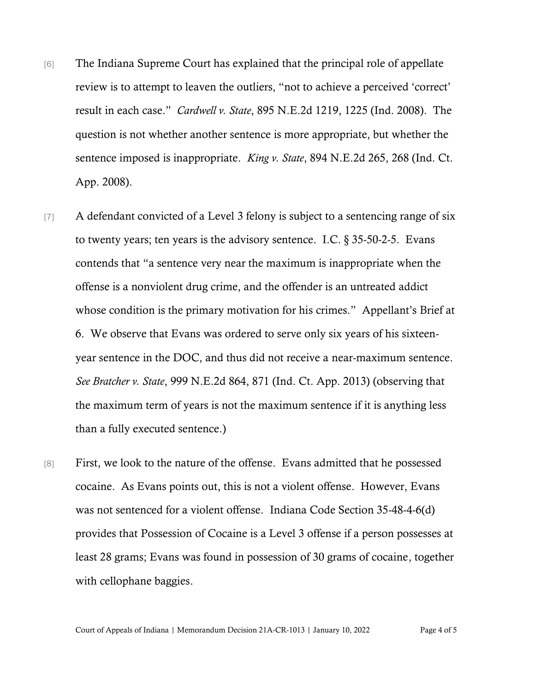- [6] The Indiana Supreme Court has explained that the principal role of appellate review is to attempt to leaven the outliers, "not to achieve a perceived 'correct' result in each case." *Cardwell v. State*, 895 N.E.2d 1219, 1225 (Ind. 2008). The question is not whether another sentence is more appropriate, but whether the sentence imposed is inappropriate. *King v. State*, 894 N.E.2d 265, 268 (Ind. Ct. App. 2008).
- [7] A defendant convicted of a Level 3 felony is subject to a sentencing range of six to twenty years; ten years is the advisory sentence. I.C.  $\S 35-50-2-5$ . Evans contends that "a sentence very near the maximum is inappropriate when the offense is a nonviolent drug crime, and the offender is an untreated addict whose condition is the primary motivation for his crimes." Appellant's Brief at 6. We observe that Evans was ordered to serve only six years of his sixteenyear sentence in the DOC, and thus did not receive a near-maximum sentence. *See Bratcher v. State*, 999 N.E.2d 864, 871 (Ind. Ct. App. 2013) (observing that the maximum term of years is not the maximum sentence if it is anything less than a fully executed sentence.)
- [8] First, we look to the nature of the offense. Evans admitted that he possessed cocaine. As Evans points out, this is not a violent offense. However, Evans was not sentenced for a violent offense. Indiana Code Section 35-48-4-6(d) provides that Possession of Cocaine is a Level 3 offense if a person possesses at least 28 grams; Evans was found in possession of 30 grams of cocaine, together with cellophane baggies.